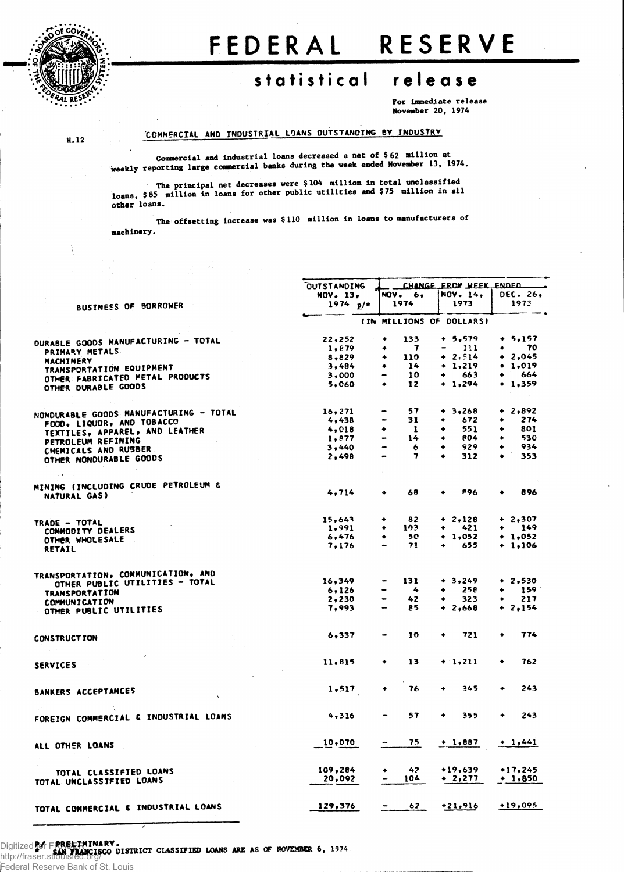

**H. 12**

ŧ.

## FEDERAL RESERVE

## **statistica l releas e**

For immediate release November 20, 1974

## **COMMERCIAL AND INDUSTRIAL LOANS OUTSTANDING BY INDUSTRY**

Commercial and industrial loans decreased a net of \$ 62 million at Weekly reporting large commercial banks during the week ended November 13, 1974.

The principal net decreases were \$104 million in total unclassified loans, \$85 million in loans for other public utilities and \$75 million in all other loans.

machinery. The offsetting increase was \$110 million in loans to manufacturers of

|                                                     | <b>OUTSTANDING</b> | CHANGE FROM WEEK ENDED        |                  |                             |  |  |  |
|-----------------------------------------------------|--------------------|-------------------------------|------------------|-----------------------------|--|--|--|
|                                                     | NOV. 13.           | <b>NOV.</b> 6,                | <b>NOV. 14,</b>  | <b>DEC. 26.</b>             |  |  |  |
| BUSTNESS OF BORROWER                                | 1974 $p/*$         | 1974                          | 1973             | 1973                        |  |  |  |
|                                                     |                    | (IN MILLIONS OF DOLLARS)      |                  |                             |  |  |  |
|                                                     |                    |                               |                  |                             |  |  |  |
| DURABLE GOODS MANUFACTURING - TOTAL                 | 22, 252            | 133<br>٠                      | $+ 5,579$        | $+ 5,157$                   |  |  |  |
| PRIMARY METALS                                      | 1,879              | 7<br>۰                        | $\frac{111}{11}$ | 70<br>٠                     |  |  |  |
| MACHINERY                                           | 8,829              | 110<br>٠                      | $+ 2.514$        | $+2,045$                    |  |  |  |
| TRANSPORTATION EQUIPMENT                            | 3,484              | 14<br>٠                       | $+ 1,219$        | $+ 1.019$                   |  |  |  |
| OTHER FABRICATED METAL PRODUCTS                     | 3,000              | 10                            | 663<br>$\bullet$ | 664                         |  |  |  |
| OTHER DURABLE GOODS                                 | 5,060              | 12<br>۰                       | $+ 1,294$        | $+ 1,359$                   |  |  |  |
|                                                     | 16,271             | 57                            | $+ 3,268$        | $+ 2,892$                   |  |  |  |
| NONDURABLE GOODS MANUFACTURING - TOTAL              | 4,438              | 31                            | 672<br>۰         | 274                         |  |  |  |
| FOOD, LIQUOR, AND TOBACCO                           | 4,018              | $\mathbf{1}$<br>۰             | 551<br>٠         | 801                         |  |  |  |
| TEXTILES, APPAREL, AND LEATHER                      |                    | 14<br>$\hbox{\small -}$       | <b>804</b><br>٠  | 530<br>٠                    |  |  |  |
| PETROLEUM REFINING                                  | 1,877              |                               |                  |                             |  |  |  |
| CHEMICALS AND RUSBER                                | 3,440              | 6                             | 929              | 934                         |  |  |  |
| OTHER NONDURABLE GOODS                              | 2,498              | 7<br>$\overline{\phantom{a}}$ | 312              | 353                         |  |  |  |
|                                                     |                    |                               |                  |                             |  |  |  |
| MINING (INCLUDING CRUDE PETROLEUM &<br>NATURAL GAS) | 4,714              | 68<br>٠                       | <b>P96</b>       | 896                         |  |  |  |
|                                                     |                    |                               |                  |                             |  |  |  |
| TRADE - TOTAL                                       | 15,643             | 82<br>۰                       | $+ 2,128$        | $+ 2,307$                   |  |  |  |
| COMMODITY DEALERS                                   | 1,991              | 103<br>٠                      | 421<br>٠         | 149                         |  |  |  |
|                                                     | 6,476              | 50<br>٠                       | $+ 1.052$        | $+ 1,052$                   |  |  |  |
| OTHER WHOLESALE<br>RETAIL                           | 7,176              | 71                            | 655              | $+ 1.106$                   |  |  |  |
|                                                     |                    |                               |                  |                             |  |  |  |
| TRANSPORTATION, COMMUNICATION, AND                  |                    |                               |                  |                             |  |  |  |
| OTHER PUBLIC UTILITIES - TOTAL                      | 16,349             | 131                           | $+ 3,249$        | $+2,530$                    |  |  |  |
| <b>TRANSPORTATION</b>                               | 6,126              | $\clubsuit$<br>$\blacksquare$ | 25e<br>۰         | 159<br>$\ddot{\phantom{1}}$ |  |  |  |
| <b>COMMUNICATION</b>                                | 2,230              | 42                            | 323              | 217                         |  |  |  |
| OTHER PUBLIC UTILITIES                              | 7,993              | 85                            | $+ 2,668$        | $+2.154$                    |  |  |  |
|                                                     | 6,337              | 10                            | 721              | 774                         |  |  |  |
| <b>CONSTRUCTION</b>                                 |                    |                               |                  |                             |  |  |  |
| <b>SERVICES</b>                                     | 11,815             | 13<br>٠                       | $+1,211$         | 762<br>٠                    |  |  |  |
| BANKERS ACCEPTANCES                                 | 1,517              | 76<br>$\ddotmark$             | 345              | 243<br>٠                    |  |  |  |
|                                                     |                    |                               |                  |                             |  |  |  |
| FOREIGN COMMERCIAL & INDUSTRIAL LOANS               | 4,316              | 57                            | 355<br>۰         | 243<br>۰                    |  |  |  |
| ALL OTHER LOANS                                     | 10,070             | 75.                           | $+ 1,887$        | $+ 1,441$                   |  |  |  |
|                                                     | 109,284            | 42                            | $+19,639$        | $+17,245$                   |  |  |  |
| TOTAL CLASSIFIED LOANS                              | 20,092             | 104                           | $+2,277$         | $+ 1,850$                   |  |  |  |
| TOTAL UNCLASSIFIED LOANS                            |                    |                               |                  |                             |  |  |  |
| TOTAL COMMERCIAL & INDUSTRIAL LOANS                 | 129,376            | 62<br>$\sim$                  | $+21,916$        | $+19,095$                   |  |  |  |
|                                                     |                    |                               |                  |                             |  |  |  |

**Digitized of FRANCISCO DISTRICT CLASSIFIED LOANS ARE AS OF NOVEMBER 6, 1974.** http://fraser.stlouisfed.org/

Federal Reserve Bank of St. Louis